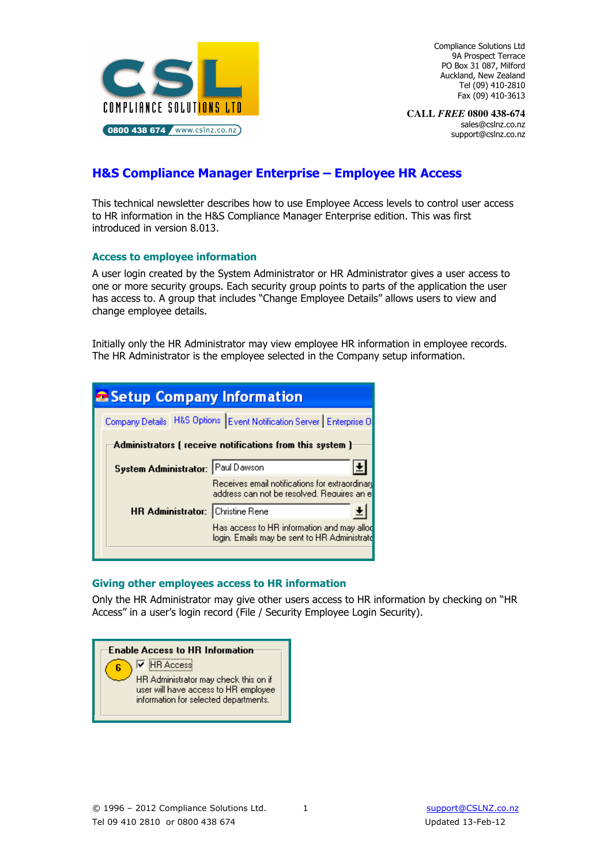

Compliance Solutions Ltd 9A Prospect Terrace PO Box 31 087, Milford Auckland, New Zealand Tel (09) 410-2810 Fax (09) 410-3613

**CALL** *FREE* **0800 438-674**  sales@cslnz.co.nz support@cslnz.co.nz

# H&S Compliance Manager Enterprise – Employee HR Access

This technical newsletter describes how to use Employee Access levels to control user access to HR information in the H&S Compliance Manager Enterprise edition. This was first introduced in version 8.013.

# Access to employee information

A user login created by the System Administrator or HR Administrator gives a user access to one or more security groups. Each security group points to parts of the application the user has access to. A group that includes "Change Employee Details" allows users to view and change employee details.

Initially only the HR Administrator may view employee HR information in employee records. The HR Administrator is the employee selected in the Company setup information.

| a Setup Company Information                               |                                                                                               |  |  |  |  |
|-----------------------------------------------------------|-----------------------------------------------------------------------------------------------|--|--|--|--|
|                                                           | Company Details   H&S Options   Event Notification Server   Enterprise 0                      |  |  |  |  |
| Administrators ( receive notifications from this system ) |                                                                                               |  |  |  |  |
| <b>System Administrator:</b> Paul Dawson                  |                                                                                               |  |  |  |  |
|                                                           | Receives email notifications for extraordinary<br>address can not be resolved. Requires an el |  |  |  |  |
| <b>HR Administrator:</b> Christine Rene                   |                                                                                               |  |  |  |  |
|                                                           | Has access to HR information and may allod<br>login. Emails may be sent to HR Administrato    |  |  |  |  |

#### Giving other employees access to HR information

Only the HR Administrator may give other users access to HR information by checking on "HR Access" in a user's login record (File / Security Employee Login Security).

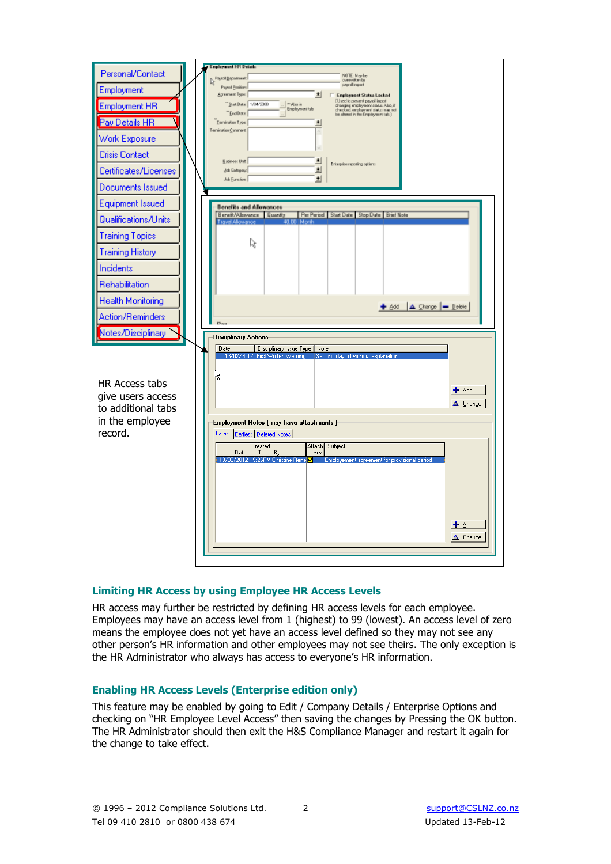

#### Limiting HR Access by using Employee HR Access Levels

HR access may further be restricted by defining HR access levels for each employee. Employees may have an access level from 1 (highest) to 99 (lowest). An access level of zero means the employee does not yet have an access level defined so they may not see any other person's HR information and other employees may not see theirs. The only exception is the HR Administrator who always has access to everyone's HR information.

#### Enabling HR Access Levels (Enterprise edition only)

This feature may be enabled by going to Edit / Company Details / Enterprise Options and checking on "HR Employee Level Access" then saving the changes by Pressing the OK button. The HR Administrator should then exit the H&S Compliance Manager and restart it again for the change to take effect.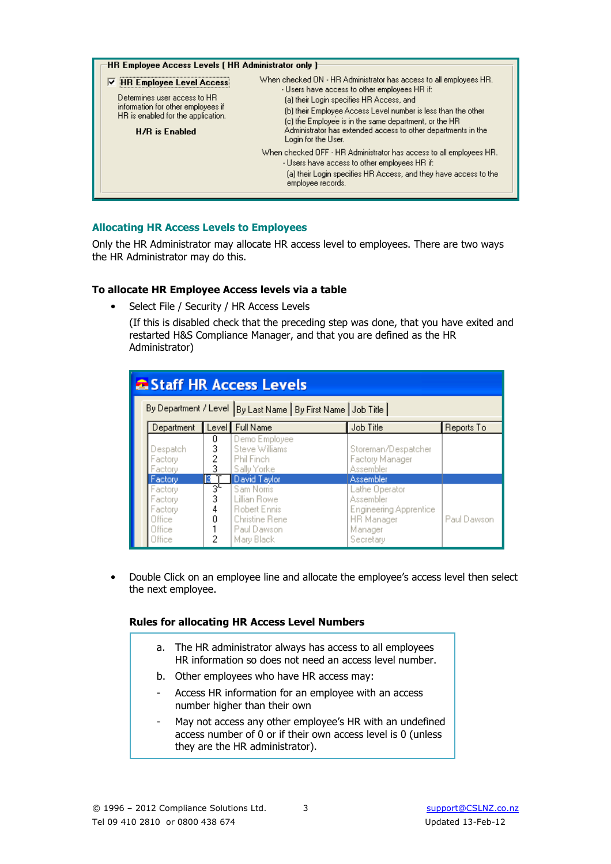| HR Employee Access Levels (HR Administrator only )                                                                                                                     |                                                                                                                                                                                                                                                                                                                                                                                   |
|------------------------------------------------------------------------------------------------------------------------------------------------------------------------|-----------------------------------------------------------------------------------------------------------------------------------------------------------------------------------------------------------------------------------------------------------------------------------------------------------------------------------------------------------------------------------|
| <b>▽ HR Employee Level Access</b><br>Determines user access to HR<br>information for other employees if<br>HR is enabled for the application.<br><b>H/R</b> is Enabled | When checked ON - HR Administrator has access to all employees HR.<br>- Users have access to other employees HR if:<br>(a) their Login specifies HR Access, and<br>(b) their Employee Access Level number is less than the other<br>(c) the Employee is in the same department, or the HR<br>Administrator has extended access to other departments in the<br>Login for the User. |
|                                                                                                                                                                        | When checked OFF - HR Administrator has access to all employees HR.<br>- Users have access to other employees HR if:<br>(a) their Login specifies HR Access, and they have access to the<br>employee records.                                                                                                                                                                     |

# Allocating HR Access Levels to Employees

Only the HR Administrator may allocate HR access level to employees. There are two ways the HR Administrator may do this.

#### To allocate HR Employee Access levels via a table

• Select File / Security / HR Access Levels

(If this is disabled check that the preceding step was done, that you have exited and restarted H&S Compliance Manager, and that you are defined as the HR Administrator)

| <b>2 Staff HR Access Levels</b> |                                                                  |                        |                                                                                           |                                                                                                    |             |  |  |
|---------------------------------|------------------------------------------------------------------|------------------------|-------------------------------------------------------------------------------------------|----------------------------------------------------------------------------------------------------|-------------|--|--|
|                                 | By Department / Level   By Last Name   By First Name   Job Title |                        |                                                                                           |                                                                                                    |             |  |  |
|                                 | Department                                                       |                        | Level Full Name                                                                           | Job Title                                                                                          | Reports To  |  |  |
|                                 | Despatch<br>Factory<br>Factory                                   | 0<br>3<br>2<br>3       | Demo Employee<br>Steve Williams<br>Phil Finch<br>Sally Yorke                              | Storeman/Despatcher<br>Factory Manager<br>Assembler                                                |             |  |  |
|                                 | R.<br>Factory                                                    |                        | David Taylor                                                                              | Assembler                                                                                          |             |  |  |
|                                 | Factory<br>Factory<br>Factory<br>Office<br>Office<br>Office      | ञ्<br>3<br>4<br>Ω<br>2 | Sam Norris<br>Lillian Rowe<br>Robert Ennis<br>Christine Rene<br>Paul Dawson<br>Mary Black | Lathe Operator<br>Assembler<br><b>Engineering Apprentice</b><br>HR Manager<br>Manager<br>Secretary | Paul Dawson |  |  |

• Double Click on an employee line and allocate the employee's access level then select the next employee.

#### Rules for allocating HR Access Level Numbers

- a. The HR administrator always has access to all employees HR information so does not need an access level number.
- b. Other employees who have HR access may:
- Access HR information for an employee with an access number higher than their own
- May not access any other employee's HR with an undefined access number of 0 or if their own access level is 0 (unless they are the HR administrator).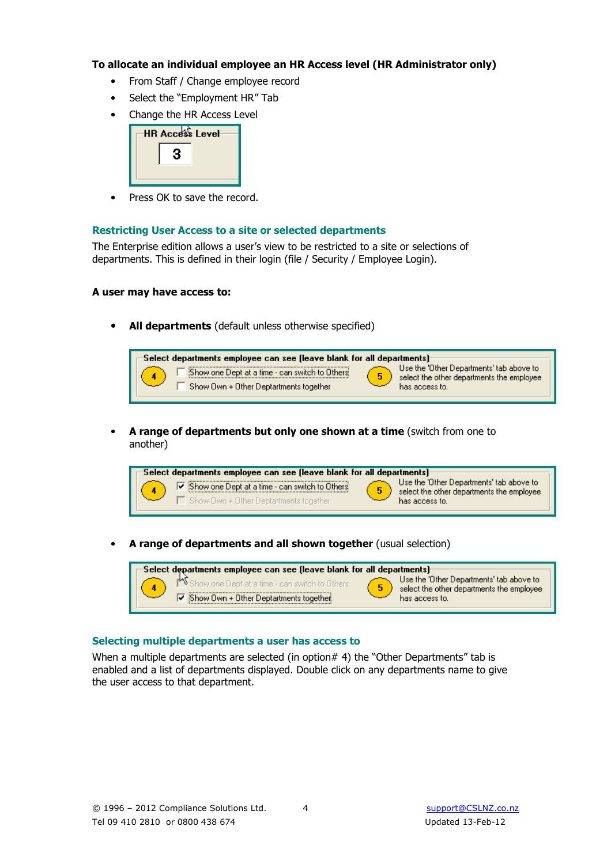#### To allocate an individual employee an HR Access level (HR Administrator only)

- From Staff / Change employee record
- Select the "Employment HR" Tab
- Change the HR Access Level

| <b>HR Access Level</b> |  |  |  |
|------------------------|--|--|--|
| 3                      |  |  |  |
|                        |  |  |  |

• Press OK to save the record.

# Restricting User Access to a site or selected departments

The Enterprise edition allows a user's view to be restricted to a site or selections of departments. This is defined in their login (file / Security / Employee Login).

# A user may have access to:

All departments (default unless otherwise specified)



• A range of departments but only one shown at a time (switch from one to another)



• A range of departments and all shown together (usual selection)



#### Selecting multiple departments a user has access to

When a multiple departments are selected (in option  $# 4$ ) the "Other Departments" tab is enabled and a list of departments displayed. Double click on any departments name to give the user access to that department.